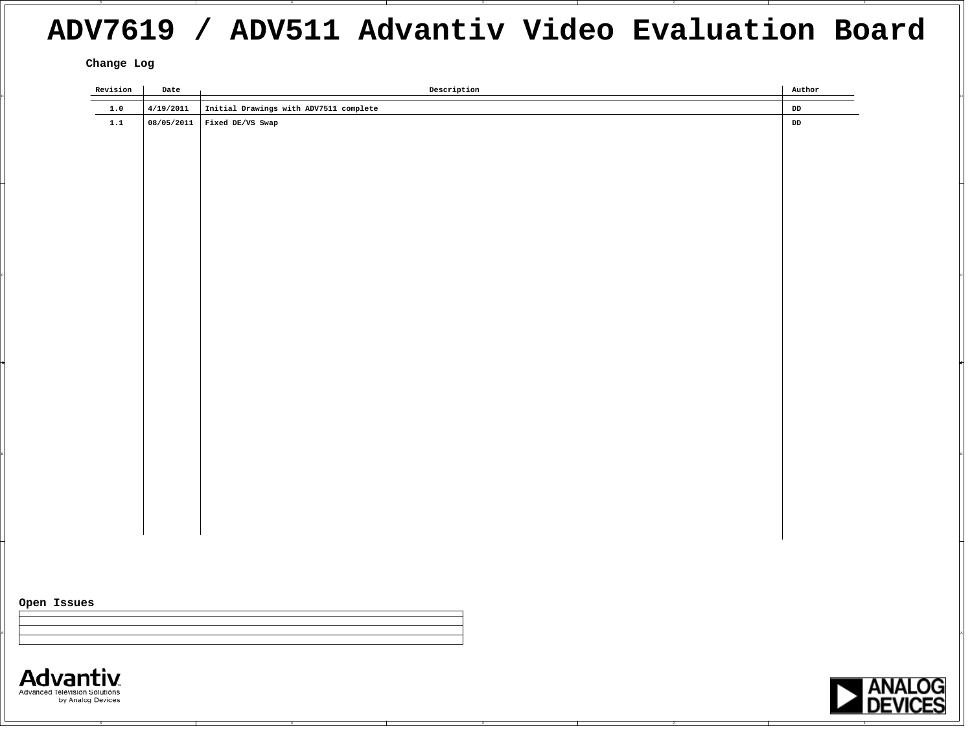## **ADV7619 / ADV511 Advantiv Video Evaluation Board**

**Change Log**

| Revision                                           | Date       | Description                            | Author                |                                 |
|----------------------------------------------------|------------|----------------------------------------|-----------------------|---------------------------------|
| $1.0$                                              | 4/19/2011  | Initial Drawings with ADV7511 complete | DD                    |                                 |
| 1.1                                                | 08/05/2011 | Fixed DE/VS Swap                       | ${\tt DD}$            |                                 |
|                                                    |            |                                        |                       |                                 |
|                                                    |            |                                        |                       |                                 |
|                                                    |            |                                        |                       |                                 |
|                                                    |            |                                        |                       |                                 |
|                                                    |            |                                        |                       |                                 |
|                                                    |            |                                        |                       |                                 |
|                                                    |            |                                        |                       |                                 |
|                                                    |            |                                        |                       |                                 |
|                                                    |            |                                        |                       |                                 |
|                                                    |            |                                        |                       |                                 |
|                                                    |            |                                        |                       |                                 |
|                                                    |            |                                        |                       |                                 |
|                                                    |            |                                        |                       |                                 |
|                                                    |            |                                        |                       |                                 |
|                                                    |            |                                        |                       |                                 |
|                                                    |            |                                        |                       |                                 |
|                                                    |            |                                        |                       |                                 |
|                                                    |            |                                        |                       |                                 |
|                                                    |            |                                        |                       |                                 |
|                                                    |            |                                        |                       |                                 |
|                                                    |            |                                        |                       |                                 |
|                                                    |            |                                        |                       |                                 |
|                                                    |            |                                        |                       |                                 |
|                                                    |            |                                        |                       |                                 |
|                                                    |            |                                        |                       |                                 |
|                                                    |            |                                        |                       |                                 |
|                                                    |            |                                        |                       |                                 |
|                                                    |            |                                        |                       |                                 |
|                                                    |            |                                        |                       |                                 |
|                                                    |            |                                        |                       |                                 |
| Open Issues                                        |            |                                        |                       |                                 |
|                                                    |            |                                        |                       |                                 |
|                                                    |            |                                        |                       |                                 |
|                                                    |            |                                        |                       |                                 |
|                                                    |            |                                        |                       |                                 |
| <b>Advantiv</b>                                    |            |                                        |                       |                                 |
| Advanced Television Solutions<br>by Analog Devices |            |                                        | $\blacktriangleright$ |                                 |
|                                                    |            |                                        |                       | <b>ANALOG</b><br><b>DEVICES</b> |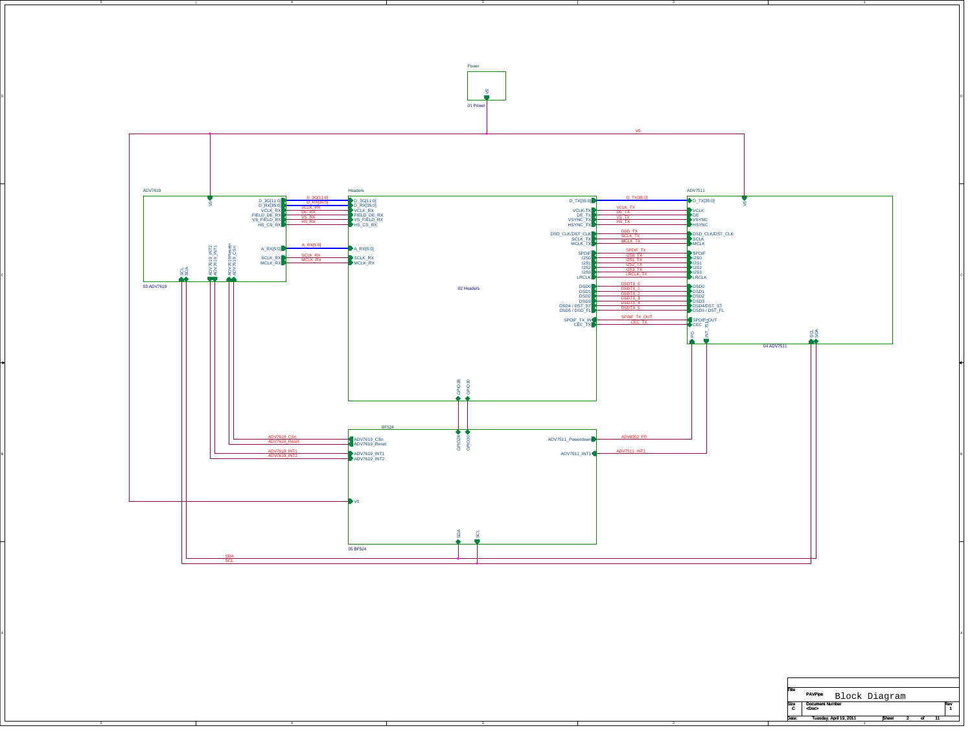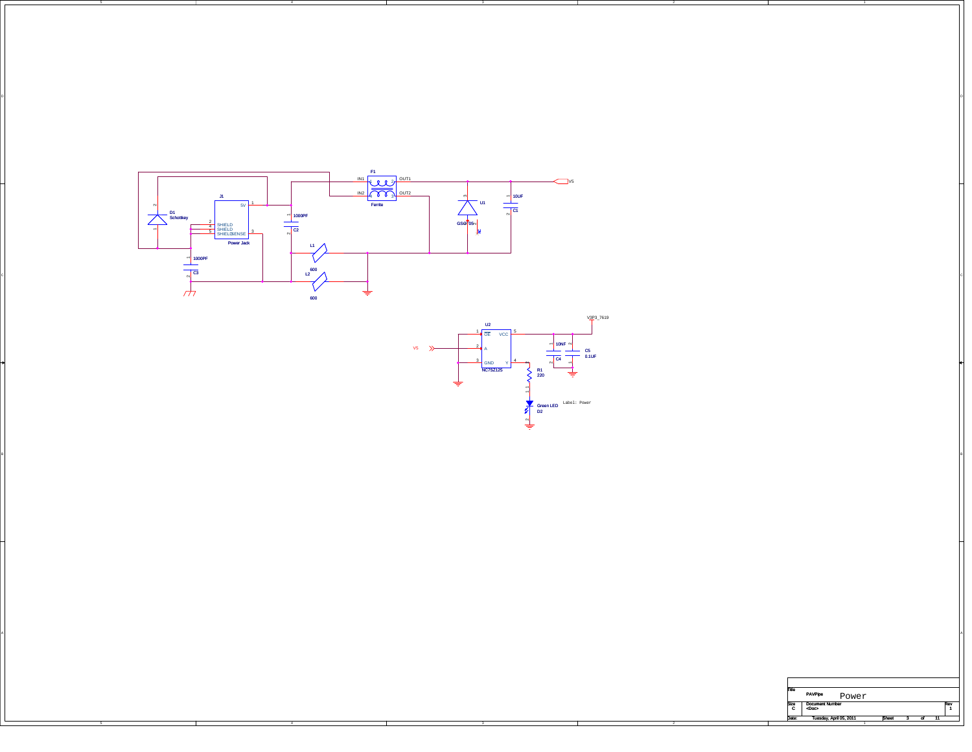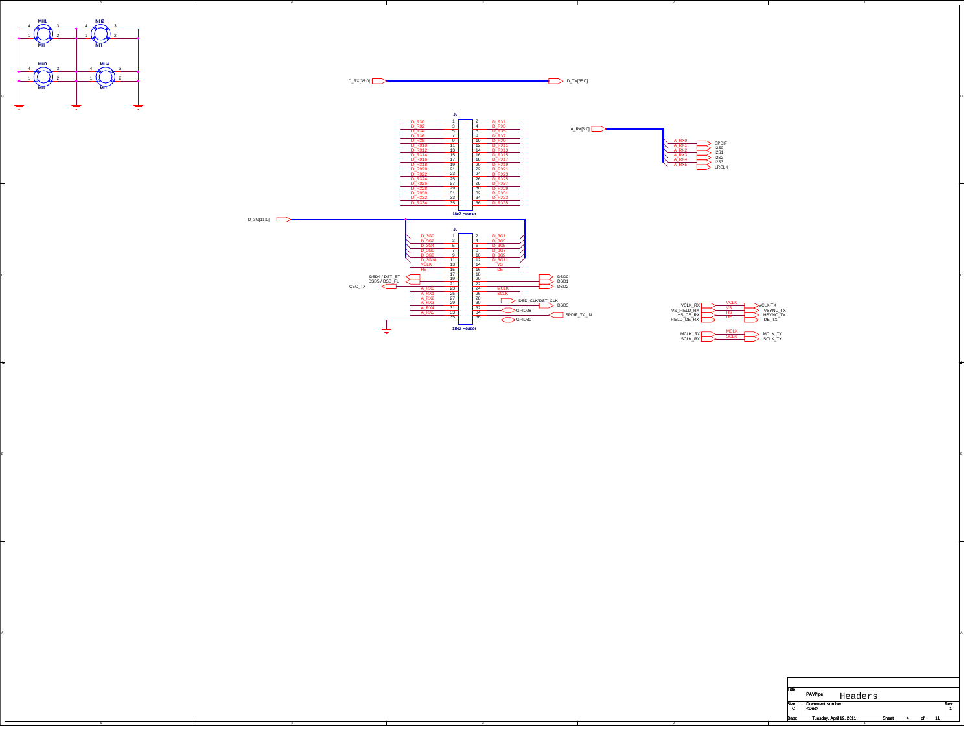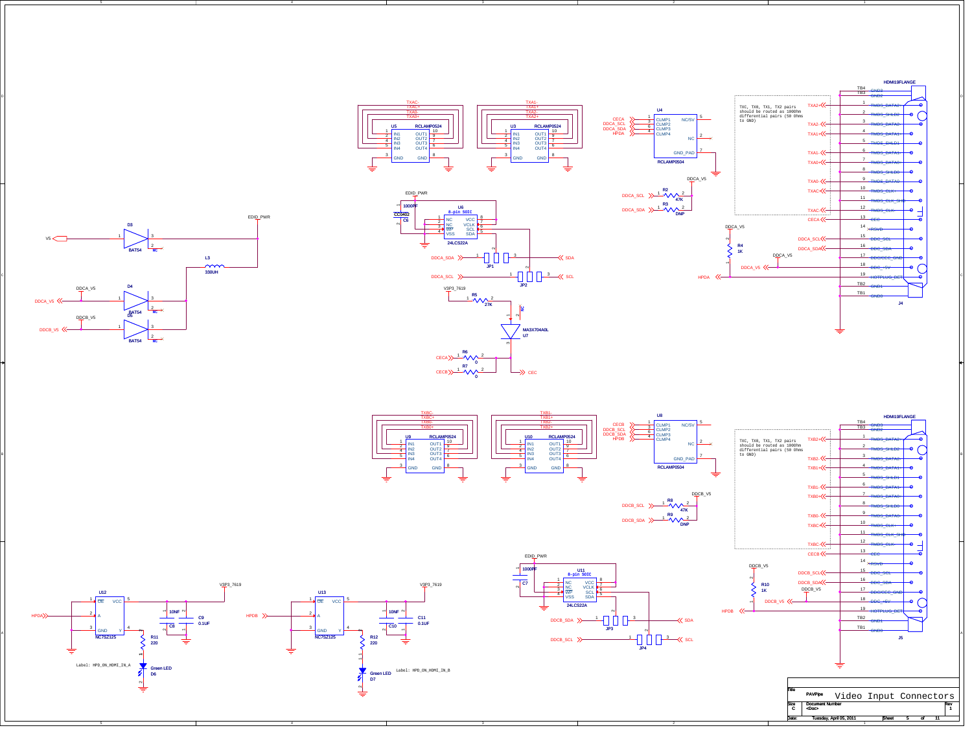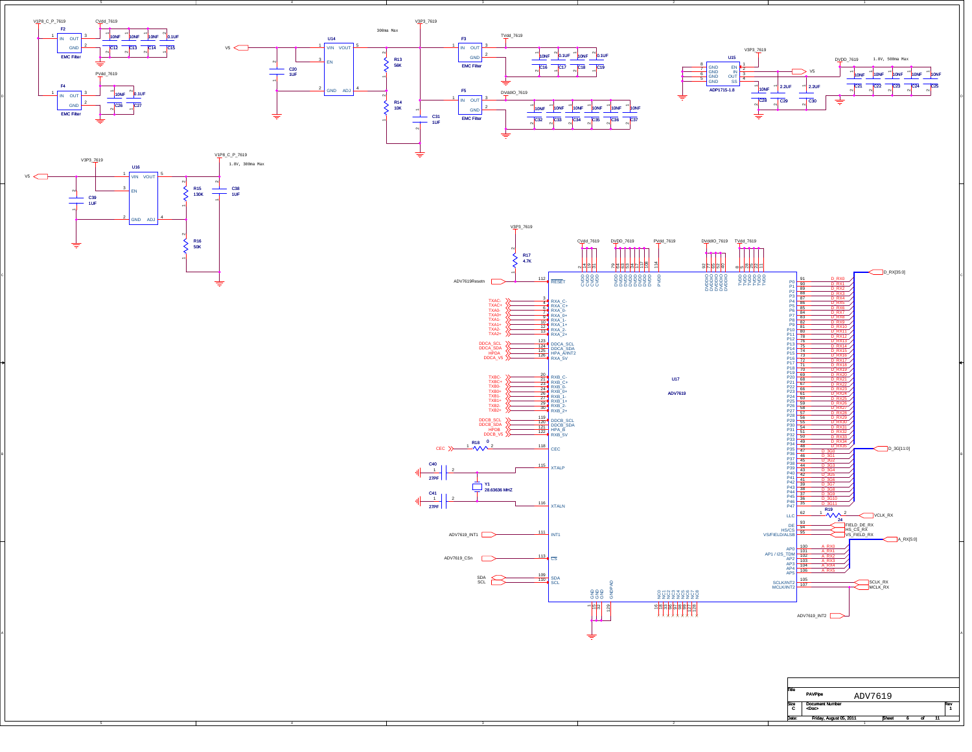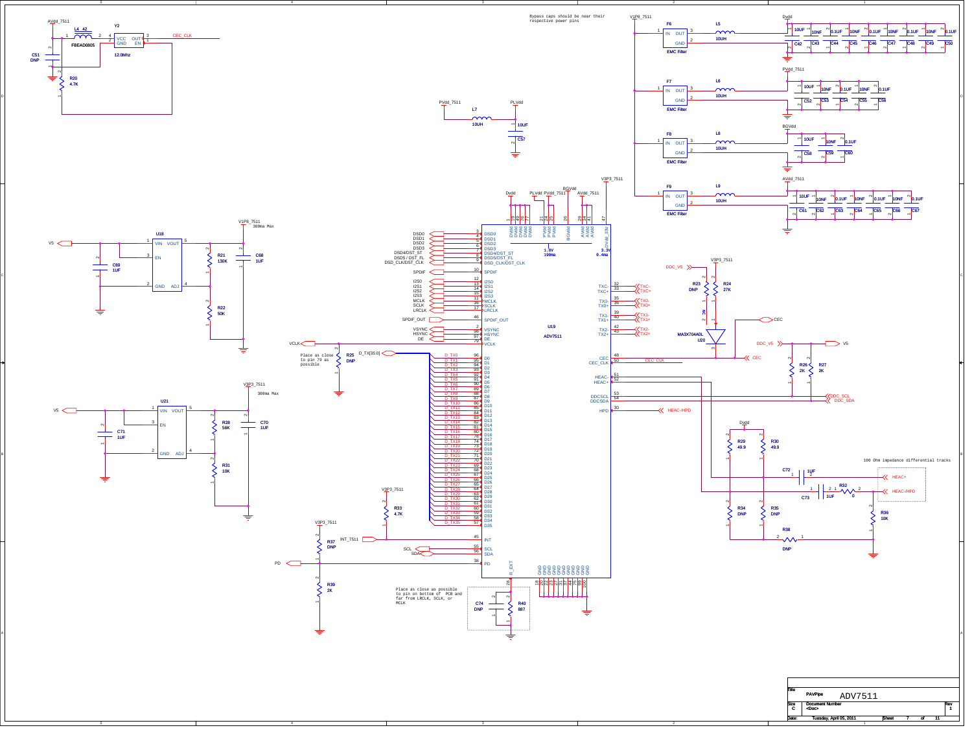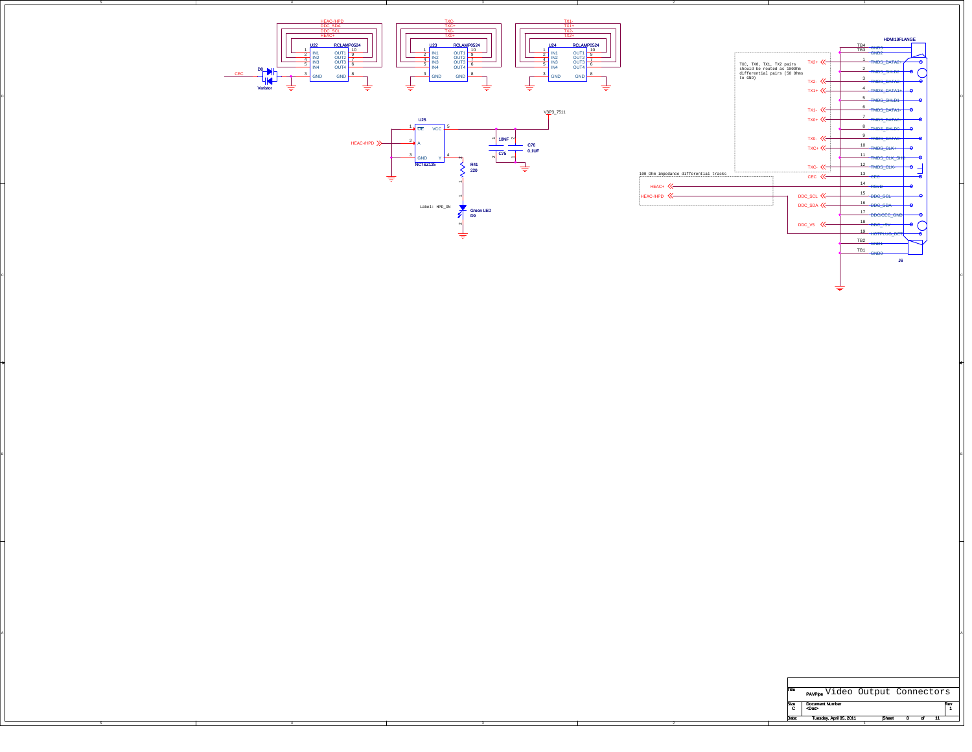





 $B$ 

A

| Title     | <b>PAVPipe</b> Video Output Connectors |              |  |     |
|-----------|----------------------------------------|--------------|--|-----|
| Size<br>C | <b>Document Number</b><br><doc></doc>  |              |  | Rev |
| Date:     | Tuesday, April 05, 2011                | <b>Sheet</b> |  |     |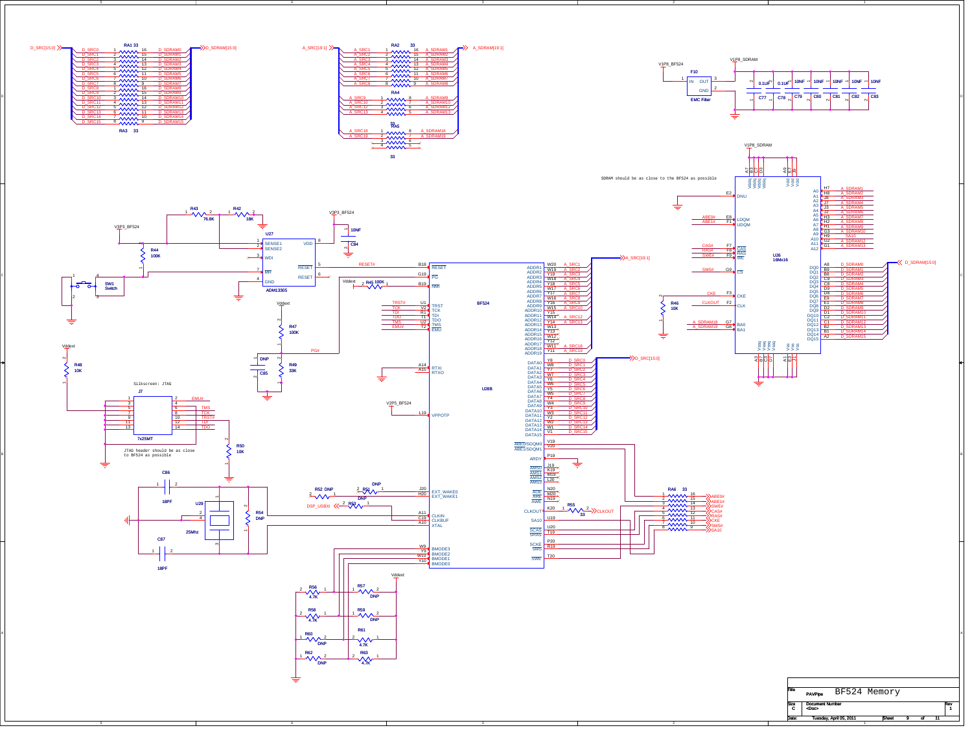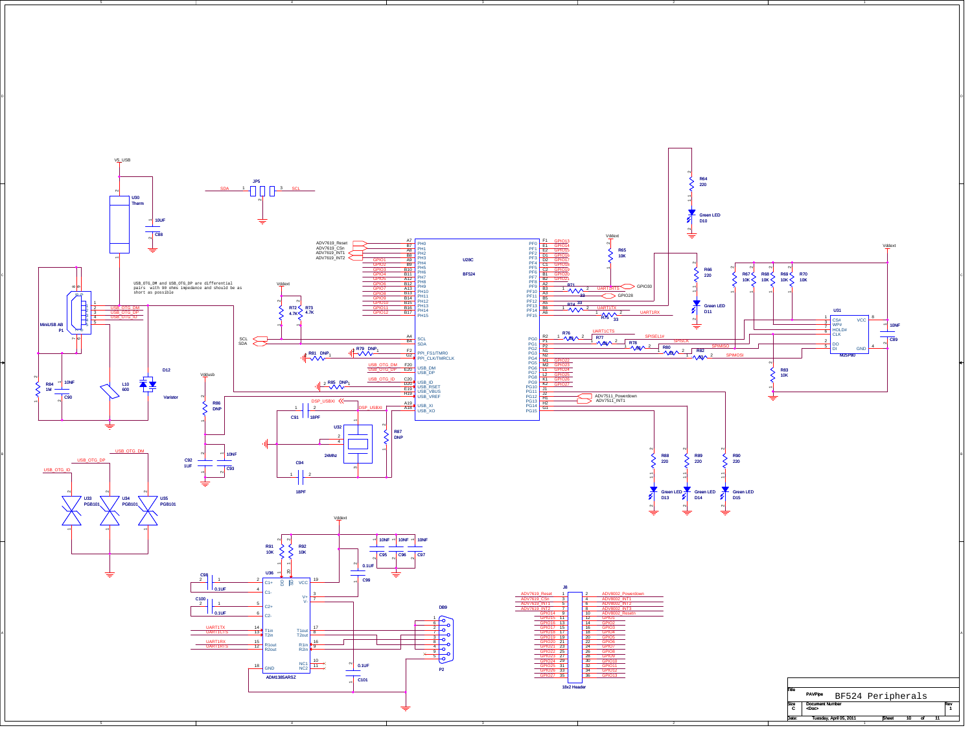